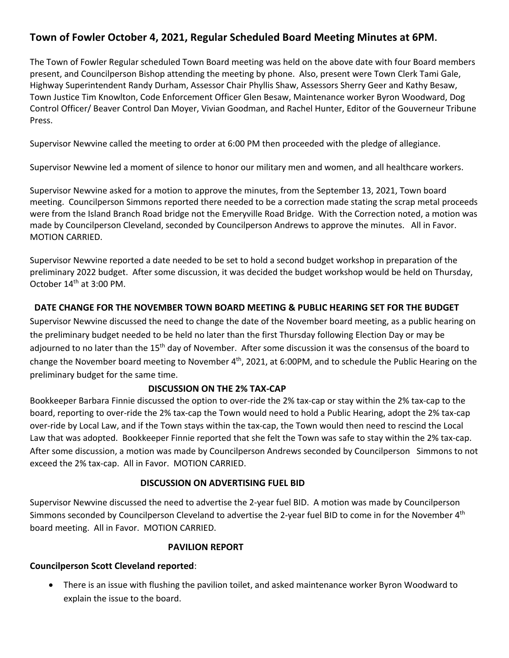# **Town of Fowler October 4, 2021, Regular Scheduled Board Meeting Minutes at 6PM.**

The Town of Fowler Regular scheduled Town Board meeting was held on the above date with four Board members present, and Councilperson Bishop attending the meeting by phone. Also, present were Town Clerk Tami Gale, Highway Superintendent Randy Durham, Assessor Chair Phyllis Shaw, Assessors Sherry Geer and Kathy Besaw, Town Justice Tim Knowlton, Code Enforcement Officer Glen Besaw, Maintenance worker Byron Woodward, Dog Control Officer/ Beaver Control Dan Moyer, Vivian Goodman, and Rachel Hunter, Editor of the Gouverneur Tribune Press.

Supervisor Newvine called the meeting to order at 6:00 PM then proceeded with the pledge of allegiance.

Supervisor Newvine led a moment of silence to honor our military men and women, and all healthcare workers.

Supervisor Newvine asked for a motion to approve the minutes, from the September 13, 2021, Town board meeting. Councilperson Simmons reported there needed to be a correction made stating the scrap metal proceeds were from the Island Branch Road bridge not the Emeryville Road Bridge. With the Correction noted, a motion was made by Councilperson Cleveland, seconded by Councilperson Andrews to approve the minutes. All in Favor. MOTION CARRIED.

Supervisor Newvine reported a date needed to be set to hold a second budget workshop in preparation of the preliminary 2022 budget. After some discussion, it was decided the budget workshop would be held on Thursday, October 14<sup>th</sup> at 3:00 PM.

#### **DATE CHANGE FOR THE NOVEMBER TOWN BOARD MEETING & PUBLIC HEARING SET FOR THE BUDGET**

Supervisor Newvine discussed the need to change the date of the November board meeting, as a public hearing on the preliminary budget needed to be held no later than the first Thursday following Election Day or may be adjourned to no later than the 15<sup>th</sup> day of November. After some discussion it was the consensus of the board to change the November board meeting to November 4<sup>th</sup>, 2021, at 6:00PM, and to schedule the Public Hearing on the preliminary budget for the same time.

#### **DISCUSSION ON THE 2% TAX-CAP**

Bookkeeper Barbara Finnie discussed the option to over-ride the 2% tax-cap or stay within the 2% tax-cap to the board, reporting to over-ride the 2% tax-cap the Town would need to hold a Public Hearing, adopt the 2% tax-cap over-ride by Local Law, and if the Town stays within the tax-cap, the Town would then need to rescind the Local Law that was adopted. Bookkeeper Finnie reported that she felt the Town was safe to stay within the 2% tax-cap. After some discussion, a motion was made by Councilperson Andrews seconded by Councilperson Simmons to not exceed the 2% tax-cap. All in Favor. MOTION CARRIED.

#### **DISCUSSION ON ADVERTISING FUEL BID**

Supervisor Newvine discussed the need to advertise the 2-year fuel BID. A motion was made by Councilperson Simmons seconded by Councilperson Cleveland to advertise the 2-year fuel BID to come in for the November 4<sup>th</sup> board meeting. All in Favor. MOTION CARRIED.

#### **PAVILION REPORT**

#### **Councilperson Scott Cleveland reported**:

• There is an issue with flushing the pavilion toilet, and asked maintenance worker Byron Woodward to explain the issue to the board.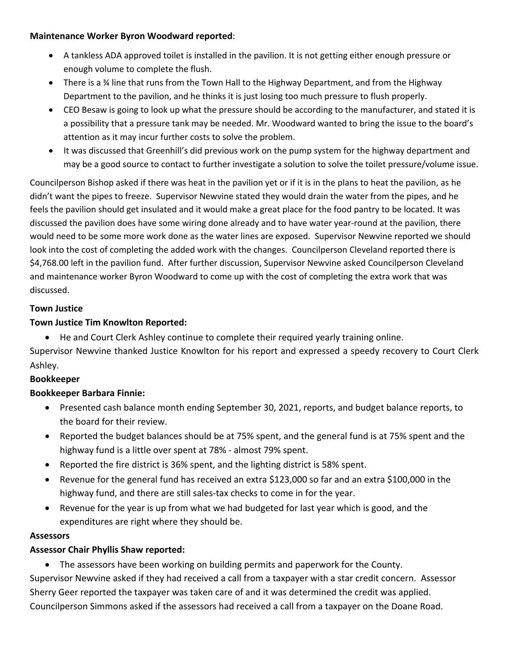#### **Maintenance Worker Byron Woodward reported**:

- A tankless ADA approved toilet is installed in the pavilion. It is not getting either enough pressure or enough volume to complete the flush.
- There is a % line that runs from the Town Hall to the Highway Department, and from the Highway Department to the pavilion, and he thinks it is just losing too much pressure to flush properly.
- CEO Besaw is going to look up what the pressure should be according to the manufacturer, and stated it is a possibility that a pressure tank may be needed. Mr. Woodward wanted to bring the issue to the board's attention as it may incur further costs to solve the problem.
- It was discussed that Greenhill's did previous work on the pump system for the highway department and may be a good source to contact to further investigate a solution to solve the toilet pressure/volume issue.

Councilperson Bishop asked if there was heat in the pavilion yet or if it is in the plans to heat the pavilion, as he didn't want the pipes to freeze. Supervisor Newvine stated they would drain the water from the pipes, and he feels the pavilion should get insulated and it would make a great place for the food pantry to be located. It was discussed the pavilion does have some wiring done already and to have water year-round at the pavilion, there would need to be some more work done as the water lines are exposed. Supervisor Newvine reported we should look into the cost of completing the added work with the changes. Councilperson Cleveland reported there is \$4,768.00 left in the pavilion fund. After further discussion, Supervisor Newvine asked Councilperson Cleveland and maintenance worker Byron Woodward to come up with the cost of completing the extra work that was discussed.

## **Town Justice**

# **Town Justice Tim Knowlton Reported:**

• He and Court Clerk Ashley continue to complete their required yearly training online.

Supervisor Newvine thanked Justice Knowlton for his report and expressed a speedy recovery to Court Clerk Ashley.

## **Bookkeeper**

# **Bookkeeper Barbara Finnie:**

- Presented cash balance month ending September 30, 2021, reports, and budget balance reports, to the board for their review.
- Reported the budget balances should be at 75% spent, and the general fund is at 75% spent and the highway fund is a little over spent at 78% - almost 79% spent.
- Reported the fire district is 36% spent, and the lighting district is 58% spent.
- Revenue for the general fund has received an extra \$123,000 so far and an extra \$100,000 in the highway fund, and there are still sales-tax checks to come in for the year.
- Revenue for the year is up from what we had budgeted for last year which is good, and the expenditures are right where they should be.

## **Assessors**

# **Assessor Chair Phyllis Shaw reported:**

• The assessors have been working on building permits and paperwork for the County. Supervisor Newvine asked if they had received a call from a taxpayer with a star credit concern. Assessor Sherry Geer reported the taxpayer was taken care of and it was determined the credit was applied. Councilperson Simmons asked if the assessors had received a call from a taxpayer on the Doane Road.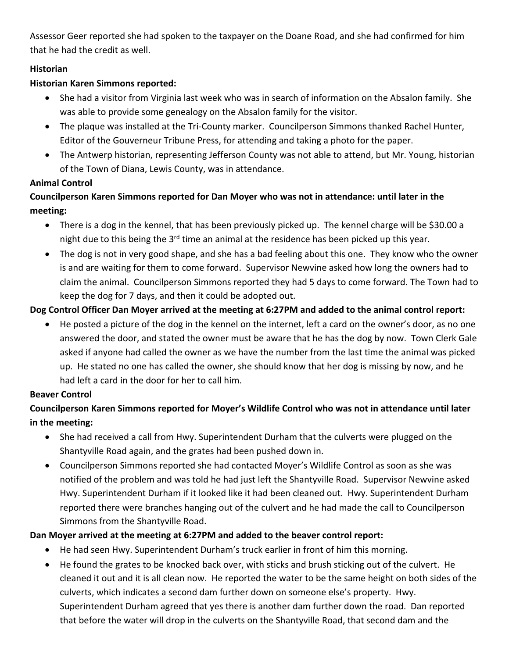Assessor Geer reported she had spoken to the taxpayer on the Doane Road, and she had confirmed for him that he had the credit as well.

## **Historian**

# **Historian Karen Simmons reported:**

- She had a visitor from Virginia last week who was in search of information on the Absalon family. She was able to provide some genealogy on the Absalon family for the visitor.
- The plaque was installed at the Tri-County marker. Councilperson Simmons thanked Rachel Hunter, Editor of the Gouverneur Tribune Press, for attending and taking a photo for the paper.
- The Antwerp historian, representing Jefferson County was not able to attend, but Mr. Young, historian of the Town of Diana, Lewis County, was in attendance.

# **Animal Control**

# **Councilperson Karen Simmons reported for Dan Moyer who was not in attendance: until later in the meeting:**

- There is a dog in the kennel, that has been previously picked up. The kennel charge will be \$30.00 a night due to this being the  $3<sup>rd</sup>$  time an animal at the residence has been picked up this year.
- The dog is not in very good shape, and she has a bad feeling about this one. They know who the owner is and are waiting for them to come forward. Supervisor Newvine asked how long the owners had to claim the animal. Councilperson Simmons reported they had 5 days to come forward. The Town had to keep the dog for 7 days, and then it could be adopted out.

# **Dog Control Officer Dan Moyer arrived at the meeting at 6:27PM and added to the animal control report:**

• He posted a picture of the dog in the kennel on the internet, left a card on the owner's door, as no one answered the door, and stated the owner must be aware that he has the dog by now. Town Clerk Gale asked if anyone had called the owner as we have the number from the last time the animal was picked up. He stated no one has called the owner, she should know that her dog is missing by now, and he had left a card in the door for her to call him.

# **Beaver Control**

# **Councilperson Karen Simmons reported for Moyer's Wildlife Control who was not in attendance until later in the meeting:**

- She had received a call from Hwy. Superintendent Durham that the culverts were plugged on the Shantyville Road again, and the grates had been pushed down in.
- Councilperson Simmons reported she had contacted Moyer's Wildlife Control as soon as she was notified of the problem and was told he had just left the Shantyville Road. Supervisor Newvine asked Hwy. Superintendent Durham if it looked like it had been cleaned out. Hwy. Superintendent Durham reported there were branches hanging out of the culvert and he had made the call to Councilperson Simmons from the Shantyville Road.

# **Dan Moyer arrived at the meeting at 6:27PM and added to the beaver control report:**

- He had seen Hwy. Superintendent Durham's truck earlier in front of him this morning.
- He found the grates to be knocked back over, with sticks and brush sticking out of the culvert. He cleaned it out and it is all clean now. He reported the water to be the same height on both sides of the culverts, which indicates a second dam further down on someone else's property. Hwy. Superintendent Durham agreed that yes there is another dam further down the road. Dan reported that before the water will drop in the culverts on the Shantyville Road, that second dam and the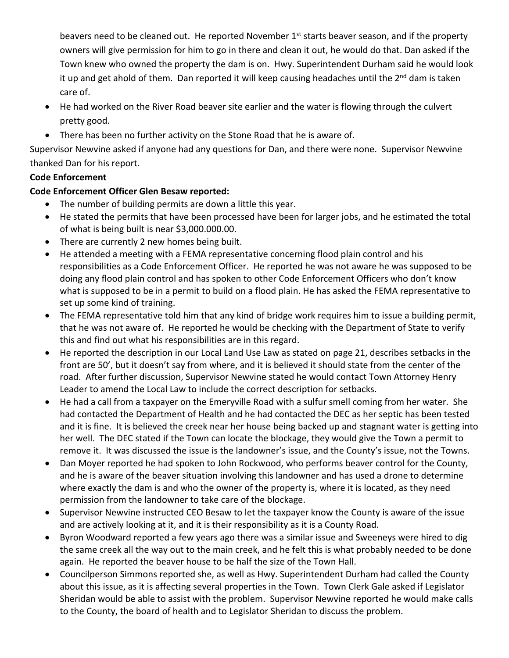beavers need to be cleaned out. He reported November 1<sup>st</sup> starts beaver season, and if the property owners will give permission for him to go in there and clean it out, he would do that. Dan asked if the Town knew who owned the property the dam is on. Hwy. Superintendent Durham said he would look it up and get ahold of them. Dan reported it will keep causing headaches until the 2<sup>nd</sup> dam is taken care of.

- He had worked on the River Road beaver site earlier and the water is flowing through the culvert pretty good.
- There has been no further activity on the Stone Road that he is aware of.

Supervisor Newvine asked if anyone had any questions for Dan, and there were none. Supervisor Newvine thanked Dan for his report.

## **Code Enforcement**

#### **Code Enforcement Officer Glen Besaw reported:**

- The number of building permits are down a little this year.
- He stated the permits that have been processed have been for larger jobs, and he estimated the total of what is being built is near \$3,000.000.00.
- There are currently 2 new homes being built.
- He attended a meeting with a FEMA representative concerning flood plain control and his responsibilities as a Code Enforcement Officer. He reported he was not aware he was supposed to be doing any flood plain control and has spoken to other Code Enforcement Officers who don't know what is supposed to be in a permit to build on a flood plain. He has asked the FEMA representative to set up some kind of training.
- The FEMA representative told him that any kind of bridge work requires him to issue a building permit, that he was not aware of. He reported he would be checking with the Department of State to verify this and find out what his responsibilities are in this regard.
- He reported the description in our Local Land Use Law as stated on page 21, describes setbacks in the front are 50', but it doesn't say from where, and it is believed it should state from the center of the road. After further discussion, Supervisor Newvine stated he would contact Town Attorney Henry Leader to amend the Local Law to include the correct description for setbacks.
- He had a call from a taxpayer on the Emeryville Road with a sulfur smell coming from her water. She had contacted the Department of Health and he had contacted the DEC as her septic has been tested and it is fine. It is believed the creek near her house being backed up and stagnant water is getting into her well. The DEC stated if the Town can locate the blockage, they would give the Town a permit to remove it. It was discussed the issue is the landowner's issue, and the County's issue, not the Towns.
- Dan Moyer reported he had spoken to John Rockwood, who performs beaver control for the County, and he is aware of the beaver situation involving this landowner and has used a drone to determine where exactly the dam is and who the owner of the property is, where it is located, as they need permission from the landowner to take care of the blockage.
- Supervisor Newvine instructed CEO Besaw to let the taxpayer know the County is aware of the issue and are actively looking at it, and it is their responsibility as it is a County Road.
- Byron Woodward reported a few years ago there was a similar issue and Sweeneys were hired to dig the same creek all the way out to the main creek, and he felt this is what probably needed to be done again. He reported the beaver house to be half the size of the Town Hall.
- Councilperson Simmons reported she, as well as Hwy. Superintendent Durham had called the County about this issue, as it is affecting several properties in the Town. Town Clerk Gale asked if Legislator Sheridan would be able to assist with the problem. Supervisor Newvine reported he would make calls to the County, the board of health and to Legislator Sheridan to discuss the problem.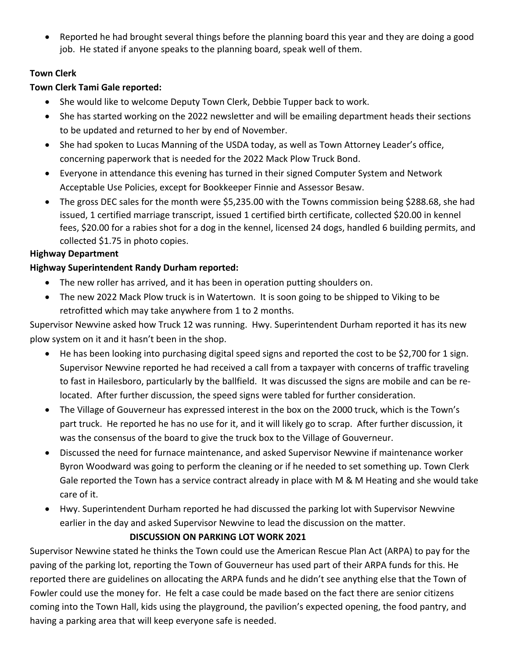• Reported he had brought several things before the planning board this year and they are doing a good job. He stated if anyone speaks to the planning board, speak well of them.

## **Town Clerk**

## **Town Clerk Tami Gale reported:**

- She would like to welcome Deputy Town Clerk, Debbie Tupper back to work.
- She has started working on the 2022 newsletter and will be emailing department heads their sections to be updated and returned to her by end of November.
- She had spoken to Lucas Manning of the USDA today, as well as Town Attorney Leader's office, concerning paperwork that is needed for the 2022 Mack Plow Truck Bond.
- Everyone in attendance this evening has turned in their signed Computer System and Network Acceptable Use Policies, except for Bookkeeper Finnie and Assessor Besaw.
- The gross DEC sales for the month were \$5,235.00 with the Towns commission being \$288.68, she had issued, 1 certified marriage transcript, issued 1 certified birth certificate, collected \$20.00 in kennel fees, \$20.00 for a rabies shot for a dog in the kennel, licensed 24 dogs, handled 6 building permits, and collected \$1.75 in photo copies.

# **Highway Department**

# **Highway Superintendent Randy Durham reported:**

- The new roller has arrived, and it has been in operation putting shoulders on.
- The new 2022 Mack Plow truck is in Watertown. It is soon going to be shipped to Viking to be retrofitted which may take anywhere from 1 to 2 months.

Supervisor Newvine asked how Truck 12 was running. Hwy. Superintendent Durham reported it has its new plow system on it and it hasn't been in the shop.

- He has been looking into purchasing digital speed signs and reported the cost to be \$2,700 for 1 sign. Supervisor Newvine reported he had received a call from a taxpayer with concerns of traffic traveling to fast in Hailesboro, particularly by the ballfield. It was discussed the signs are mobile and can be relocated. After further discussion, the speed signs were tabled for further consideration.
- The Village of Gouverneur has expressed interest in the box on the 2000 truck, which is the Town's part truck. He reported he has no use for it, and it will likely go to scrap. After further discussion, it was the consensus of the board to give the truck box to the Village of Gouverneur.
- Discussed the need for furnace maintenance, and asked Supervisor Newvine if maintenance worker Byron Woodward was going to perform the cleaning or if he needed to set something up. Town Clerk Gale reported the Town has a service contract already in place with M & M Heating and she would take care of it.
- Hwy. Superintendent Durham reported he had discussed the parking lot with Supervisor Newvine earlier in the day and asked Supervisor Newvine to lead the discussion on the matter.

# **DISCUSSION ON PARKING LOT WORK 2021**

Supervisor Newvine stated he thinks the Town could use the American Rescue Plan Act (ARPA) to pay for the paving of the parking lot, reporting the Town of Gouverneur has used part of their ARPA funds for this. He reported there are guidelines on allocating the ARPA funds and he didn't see anything else that the Town of Fowler could use the money for. He felt a case could be made based on the fact there are senior citizens coming into the Town Hall, kids using the playground, the pavilion's expected opening, the food pantry, and having a parking area that will keep everyone safe is needed.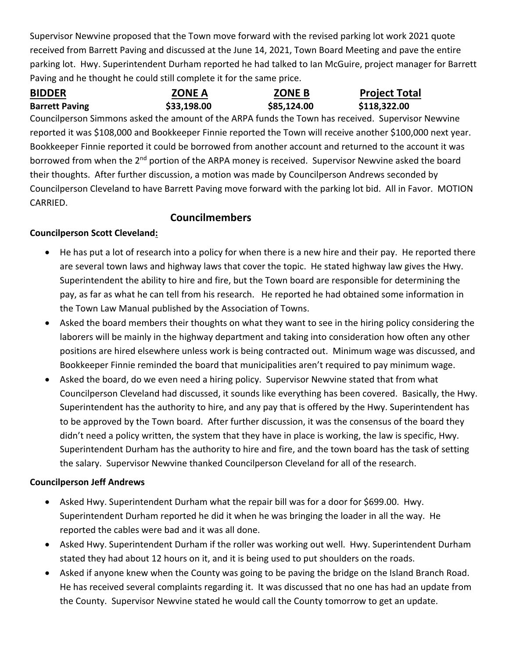Supervisor Newvine proposed that the Town move forward with the revised parking lot work 2021 quote received from Barrett Paving and discussed at the June 14, 2021, Town Board Meeting and pave the entire parking lot. Hwy. Superintendent Durham reported he had talked to Ian McGuire, project manager for Barrett Paving and he thought he could still complete it for the same price.

Barrett Paving **533,198.00** \$85,124.00 \$118,322.00

**BIDDER ZONE A ZONE B Project Total** 

Councilperson Simmons asked the amount of the ARPA funds the Town has received. Supervisor Newvine reported it was \$108,000 and Bookkeeper Finnie reported the Town will receive another \$100,000 next year. Bookkeeper Finnie reported it could be borrowed from another account and returned to the account it was borrowed from when the 2<sup>nd</sup> portion of the ARPA money is received. Supervisor Newvine asked the board their thoughts. After further discussion, a motion was made by Councilperson Andrews seconded by Councilperson Cleveland to have Barrett Paving move forward with the parking lot bid. All in Favor. MOTION CARRIED.

# **Councilmembers**

# **Councilperson Scott Cleveland:**

- He has put a lot of research into a policy for when there is a new hire and their pay. He reported there are several town laws and highway laws that cover the topic. He stated highway law gives the Hwy. Superintendent the ability to hire and fire, but the Town board are responsible for determining the pay, as far as what he can tell from his research. He reported he had obtained some information in the Town Law Manual published by the Association of Towns.
- Asked the board members their thoughts on what they want to see in the hiring policy considering the laborers will be mainly in the highway department and taking into consideration how often any other positions are hired elsewhere unless work is being contracted out. Minimum wage was discussed, and Bookkeeper Finnie reminded the board that municipalities aren't required to pay minimum wage.
- Asked the board, do we even need a hiring policy. Supervisor Newvine stated that from what Councilperson Cleveland had discussed, it sounds like everything has been covered. Basically, the Hwy. Superintendent has the authority to hire, and any pay that is offered by the Hwy. Superintendent has to be approved by the Town board. After further discussion, it was the consensus of the board they didn't need a policy written, the system that they have in place is working, the law is specific, Hwy. Superintendent Durham has the authority to hire and fire, and the town board has the task of setting the salary. Supervisor Newvine thanked Councilperson Cleveland for all of the research.

## **Councilperson Jeff Andrews**

- Asked Hwy. Superintendent Durham what the repair bill was for a door for \$699.00. Hwy. Superintendent Durham reported he did it when he was bringing the loader in all the way. He reported the cables were bad and it was all done.
- Asked Hwy. Superintendent Durham if the roller was working out well. Hwy. Superintendent Durham stated they had about 12 hours on it, and it is being used to put shoulders on the roads.
- Asked if anyone knew when the County was going to be paving the bridge on the Island Branch Road. He has received several complaints regarding it. It was discussed that no one has had an update from the County. Supervisor Newvine stated he would call the County tomorrow to get an update.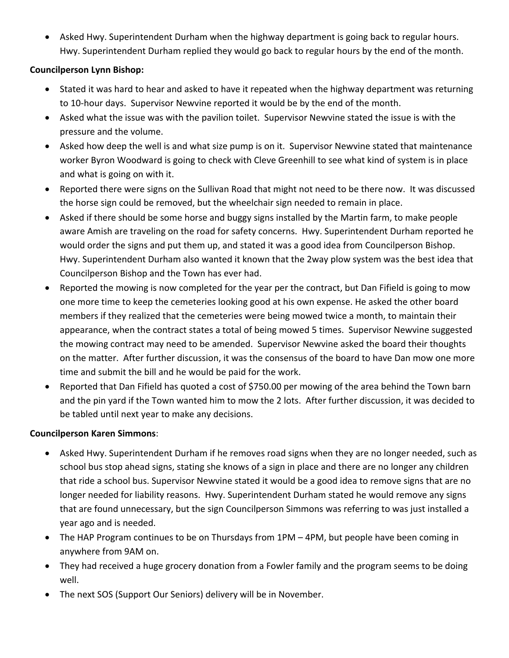• Asked Hwy. Superintendent Durham when the highway department is going back to regular hours. Hwy. Superintendent Durham replied they would go back to regular hours by the end of the month.

#### **Councilperson Lynn Bishop:**

- Stated it was hard to hear and asked to have it repeated when the highway department was returning to 10-hour days. Supervisor Newvine reported it would be by the end of the month.
- Asked what the issue was with the pavilion toilet. Supervisor Newvine stated the issue is with the pressure and the volume.
- Asked how deep the well is and what size pump is on it. Supervisor Newvine stated that maintenance worker Byron Woodward is going to check with Cleve Greenhill to see what kind of system is in place and what is going on with it.
- Reported there were signs on the Sullivan Road that might not need to be there now. It was discussed the horse sign could be removed, but the wheelchair sign needed to remain in place.
- Asked if there should be some horse and buggy signs installed by the Martin farm, to make people aware Amish are traveling on the road for safety concerns. Hwy. Superintendent Durham reported he would order the signs and put them up, and stated it was a good idea from Councilperson Bishop. Hwy. Superintendent Durham also wanted it known that the 2way plow system was the best idea that Councilperson Bishop and the Town has ever had.
- Reported the mowing is now completed for the year per the contract, but Dan Fifield is going to mow one more time to keep the cemeteries looking good at his own expense. He asked the other board members if they realized that the cemeteries were being mowed twice a month, to maintain their appearance, when the contract states a total of being mowed 5 times. Supervisor Newvine suggested the mowing contract may need to be amended. Supervisor Newvine asked the board their thoughts on the matter. After further discussion, it was the consensus of the board to have Dan mow one more time and submit the bill and he would be paid for the work.
- Reported that Dan Fifield has quoted a cost of \$750.00 per mowing of the area behind the Town barn and the pin yard if the Town wanted him to mow the 2 lots. After further discussion, it was decided to be tabled until next year to make any decisions.

#### **Councilperson Karen Simmons**:

- Asked Hwy. Superintendent Durham if he removes road signs when they are no longer needed, such as school bus stop ahead signs, stating she knows of a sign in place and there are no longer any children that ride a school bus. Supervisor Newvine stated it would be a good idea to remove signs that are no longer needed for liability reasons. Hwy. Superintendent Durham stated he would remove any signs that are found unnecessary, but the sign Councilperson Simmons was referring to was just installed a year ago and is needed.
- The HAP Program continues to be on Thursdays from 1PM 4PM, but people have been coming in anywhere from 9AM on.
- They had received a huge grocery donation from a Fowler family and the program seems to be doing well.
- The next SOS (Support Our Seniors) delivery will be in November.